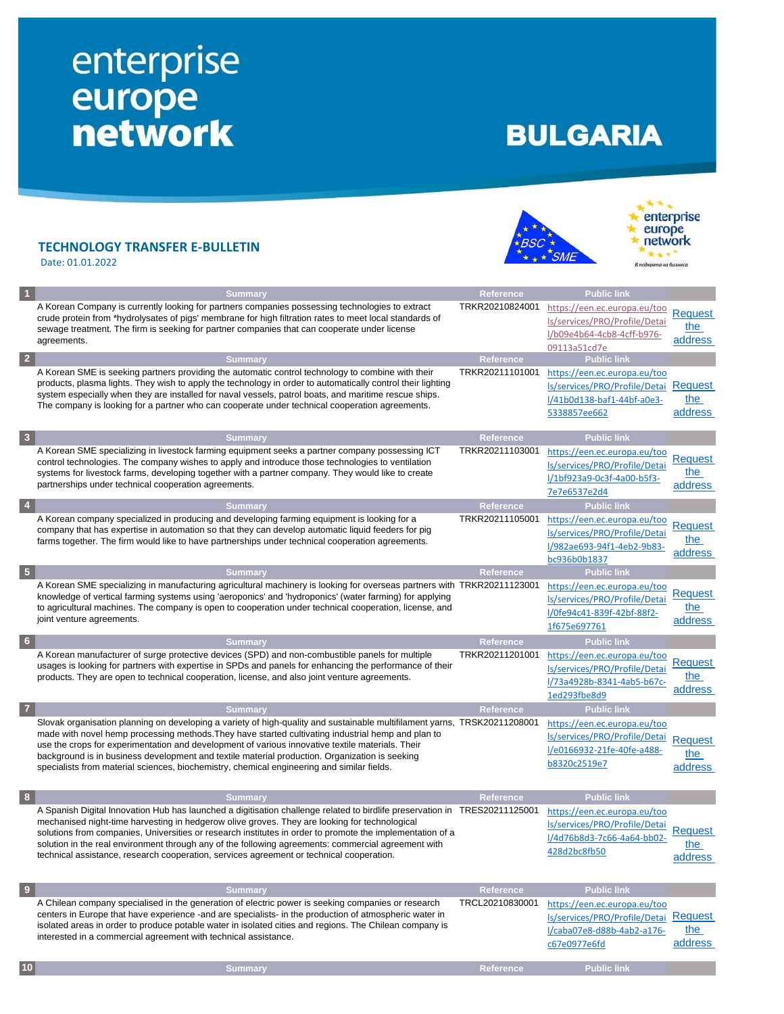## enterprise<br>
europe<br>
network

## **BULGARIA**

**BSC**  $\star$   $\star$   $\star$   $\star$  SME

\*\*\* enterprise<br>europe network

 $-4.1$ .<br>дкрепа на бизнеса

## **TECHNOLOGY TRANSFER E-BULLETIN**

Date: 01.01.2022

|                  | <b>Summary</b>                                                                                                             | Reference        | <b>Public link</b>                    |                |
|------------------|----------------------------------------------------------------------------------------------------------------------------|------------------|---------------------------------------|----------------|
|                  | A Korean Company is currently looking for partners companies possessing technologies to extract                            | TRKR20210824001  | https://een.ec.europa.eu/too          |                |
|                  | crude protein from *hydrolysates of pigs' membrane for high filtration rates to meet local standards of                    |                  | ls/services/PRO/Profile/Detai         | Request        |
|                  | sewage treatment. The firm is seeking for partner companies that can cooperate under license                               |                  | l/b09e4b64-4cb8-4cff-b976-            | the            |
|                  | agreements.                                                                                                                |                  |                                       | address        |
| $\overline{2}$   |                                                                                                                            |                  | 09113a51cd7e                          |                |
|                  | <b>Summary</b>                                                                                                             | Reference        | <b>Public link</b>                    |                |
|                  | A Korean SME is seeking partners providing the automatic control technology to combine with their                          | TRKR20211101001  | https://een.ec.europa.eu/too          |                |
|                  | products, plasma lights. They wish to apply the technology in order to automatically control their lighting                |                  | ls/services/PRO/Profile/Detai         | <b>Request</b> |
|                  | system especially when they are installed for naval vessels, patrol boats, and maritime rescue ships.                      |                  | l/41b0d138-baf1-44bf-a0e3-            | the            |
|                  | The company is looking for a partner who can cooperate under technical cooperation agreements.                             |                  | 5338857ee662                          | address        |
|                  |                                                                                                                            |                  |                                       |                |
|                  | <b>Summary</b>                                                                                                             | Reference        | <b>Public link</b>                    |                |
|                  | A Korean SME specializing in livestock farming equipment seeks a partner company possessing ICT                            | TRKR20211103001  | https://een.ec.europa.eu/too          |                |
|                  | control technologies. The company wishes to apply and introduce those technologies to ventilation                          |                  | ls/services/PRO/Profile/Detai         | <b>Request</b> |
|                  | systems for livestock farms, developing together with a partner company. They would like to create                         |                  |                                       | the            |
|                  | partnerships under technical cooperation agreements.                                                                       |                  | l/1bf923a9-0c3f-4a00-b5f3-            | address        |
|                  |                                                                                                                            |                  | 7e7e6537e2d4                          |                |
| 4                | <b>Summary</b>                                                                                                             | <b>Reference</b> | <b>Public link</b>                    |                |
|                  | A Korean company specialized in producing and developing farming equipment is looking for a                                | TRKR20211105001  | https://een.ec.europa.eu/too          |                |
|                  | company that has expertise in automation so that they can develop automatic liquid feeders for pig                         |                  | ls/services/PRO/Profile/Detai         | Request        |
|                  | farms together. The firm would like to have partnerships under technical cooperation agreements.                           |                  | l/982ae693-94f1-4eb2-9b83-            | the            |
|                  |                                                                                                                            |                  | bc936b0b1837                          | address        |
| 5                | <b>Summary</b>                                                                                                             | Reference        | Public link                           |                |
|                  | A Korean SME specializing in manufacturing agricultural machinery is looking for overseas partners with TRKR20211123001    |                  |                                       |                |
|                  | knowledge of vertical farming systems using 'aeroponics' and 'hydroponics' (water farming) for applying                    |                  | https://een.ec.europa.eu/too          | <b>Request</b> |
|                  | to agricultural machines. The company is open to cooperation under technical cooperation, license, and                     |                  | ls/services/PRO/Profile/Detai         | the            |
|                  | joint venture agreements.                                                                                                  |                  | l/0fe94c41-839f-42bf-88f2-            | address        |
|                  |                                                                                                                            |                  | 1f675e697761                          |                |
| $6\phantom{.}6$  | <b>Summary</b>                                                                                                             | <b>Reference</b> | <b>Public link</b>                    |                |
|                  | A Korean manufacturer of surge protective devices (SPD) and non-combustible panels for multiple                            | TRKR20211201001  | https://een.ec.europa.eu/too          |                |
|                  | usages is looking for partners with expertise in SPDs and panels for enhancing the performance of their                    |                  | ls/services/PRO/Profile/Detai         | Request        |
|                  | products. They are open to technical cooperation, license, and also joint venture agreements.                              |                  | l/73a4928b-8341-4ab5-b67c-            | the            |
|                  |                                                                                                                            |                  |                                       | address        |
|                  |                                                                                                                            |                  | 1ed293fbe8d9                          |                |
| 7                | <b>Summary</b>                                                                                                             | Reference        | <b>Public link</b>                    |                |
|                  | Slovak organisation planning on developing a variety of high-quality and sustainable multifilament yarns, TRSK20211208001  |                  | https://een.ec.europa.eu/too          |                |
|                  | made with novel hemp processing methods. They have started cultivating industrial hemp and plan to                         |                  | Is/services/PRO/Profile/Detai         | <b>Request</b> |
|                  | use the crops for experimentation and development of various innovative textile materials. Their                           |                  | l/e0166932-21fe-40fe-a488-            | the            |
|                  | background is in business development and textile material production. Organization is seeking                             |                  | b8320c2519e7                          |                |
|                  | specialists from material sciences, biochemistry, chemical engineering and similar fields.                                 |                  |                                       | address        |
|                  |                                                                                                                            |                  |                                       |                |
| 8                | <b>Summary</b>                                                                                                             | Reference        | <b>Public link</b>                    |                |
|                  | A Spanish Digital Innovation Hub has launched a digitisation challenge related to birdlife preservation in TRES20211125001 |                  | https://een.ec.europa.eu/too          |                |
|                  | mechanised night-time harvesting in hedgerow olive groves. They are looking for technological                              |                  | ls/services/PRO/Profile/Detai         |                |
|                  | solutions from companies, Universities or research institutes in order to promote the implementation of a                  |                  | l/4d76b8d3-7c66-4a64-bb02-            | Reauest        |
|                  | solution in the real environment through any of the following agreements: commercial agreement with                        |                  |                                       | the            |
|                  | technical assistance, research cooperation, services agreement or technical cooperation.                                   |                  | 428d2bc8fb50                          | address        |
|                  |                                                                                                                            |                  |                                       |                |
|                  |                                                                                                                            |                  |                                       |                |
| $\boldsymbol{9}$ | <b>Summary</b>                                                                                                             | <b>Reference</b> | <b>Public link</b>                    |                |
|                  | A Chilean company specialised in the generation of electric power is seeking companies or research                         | TRCL20210830001  | https://een.ec.europa.eu/too          |                |
|                  | centers in Europe that have experience -and are specialists- in the production of atmospheric water in                     |                  | Is/services/PRO/Profile/Detai Request |                |
|                  | isolated areas in order to produce potable water in isolated cities and regions. The Chilean company is                    |                  | l/caba07e8-d88b-4ab2-a176-            | the            |

interested in a commercial agreement with technical assistance.

address

[c67e0977e6fd](https://een.ec.europa.eu/tools/services/PRO/Profile/Detail/caba07e8-d88b-4ab2-a176-c67e0977e6fd)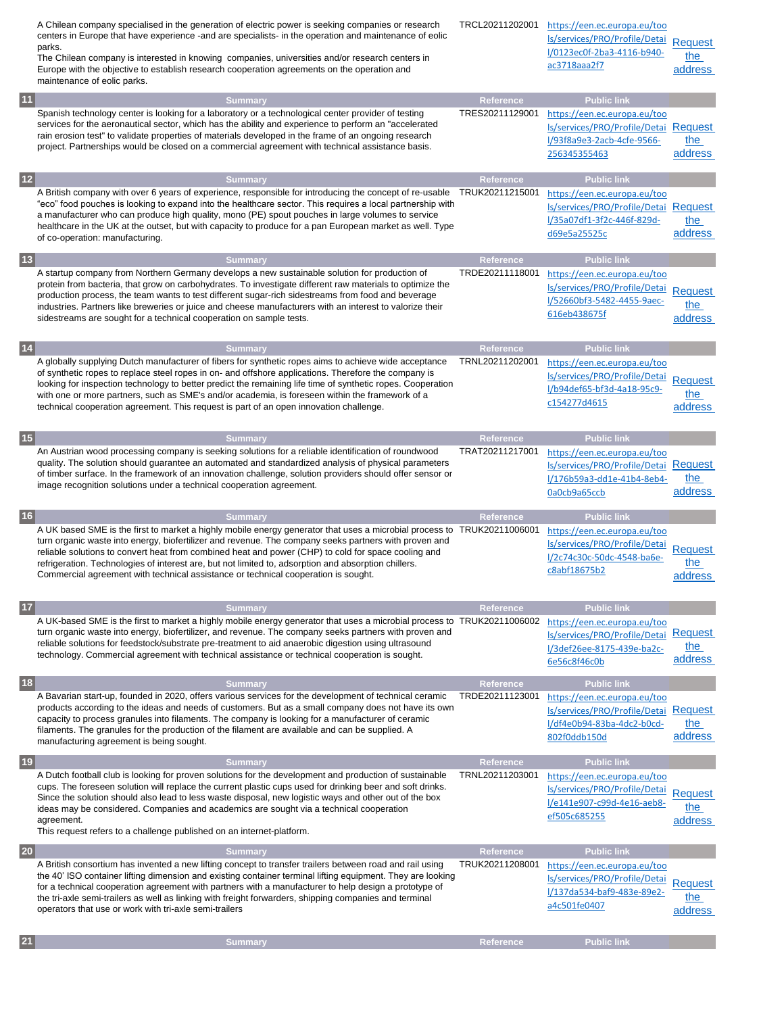|              | A Chilean company specialised in the generation of electric power is seeking companies or research<br>centers in Europe that have experience - and are specialists - in the operation and maintenance of eolic<br>parks.<br>The Chilean company is interested in knowing companies, universities and/or research centers in<br>Europe with the objective to establish research cooperation agreements on the operation and<br>maintenance of eolic parks.                                                                             | TRCL20211202001              | https://een.ec.europa.eu/too<br>ls/services/PRO/Profile/Detai<br>l/0123ec0f-2ba3-4116-b940-<br>ac3718aaa2f7                       | <b>Request</b><br>the<br>address |
|--------------|---------------------------------------------------------------------------------------------------------------------------------------------------------------------------------------------------------------------------------------------------------------------------------------------------------------------------------------------------------------------------------------------------------------------------------------------------------------------------------------------------------------------------------------|------------------------------|-----------------------------------------------------------------------------------------------------------------------------------|----------------------------------|
| $11$         | <b>Summary</b>                                                                                                                                                                                                                                                                                                                                                                                                                                                                                                                        | Reference                    | <b>Public link</b>                                                                                                                |                                  |
|              | Spanish technology center is looking for a laboratory or a technological center provider of testing<br>services for the aeronautical sector, which has the ability and experience to perform an "accelerated<br>rain erosion test" to validate properties of materials developed in the frame of an ongoing research<br>project. Partnerships would be closed on a commercial agreement with technical assistance basis.                                                                                                              | TRES20211129001              | https://een.ec.europa.eu/too<br>Is/services/PRO/Profile/Detai Request<br>I/93f8a9e3-2acb-4cfe-9566-<br>256345355463               | the<br>address                   |
| $12$         | <b>Summary</b>                                                                                                                                                                                                                                                                                                                                                                                                                                                                                                                        | Reference                    | <b>Public link</b>                                                                                                                |                                  |
|              | A British company with over 6 years of experience, responsible for introducing the concept of re-usable<br>"eco" food pouches is looking to expand into the healthcare sector. This requires a local partnership with<br>a manufacturer who can produce high quality, mono (PE) spout pouches in large volumes to service<br>healthcare in the UK at the outset, but with capacity to produce for a pan European market as well. Type<br>of co-operation: manufacturing.                                                              | TRUK20211215001              | https://een.ec.europa.eu/too<br>ls/services/PRO/Profile/Detai<br>l/35a07df1-3f2c-446f-829d-<br>d69e5a25525c                       | Request<br>the<br>address        |
| $\boxed{13}$ | <b>Summary</b>                                                                                                                                                                                                                                                                                                                                                                                                                                                                                                                        | Reference                    | <b>Public link</b>                                                                                                                |                                  |
|              | A startup company from Northern Germany develops a new sustainable solution for production of<br>protein from bacteria, that grow on carbohydrates. To investigate different raw materials to optimize the<br>production process, the team wants to test different sugar-rich sidestreams from food and beverage<br>industries. Partners like breweries or juice and cheese manufacturers with an interest to valorize their<br>sidestreams are sought for a technical cooperation on sample tests.                                   | TRDE20211118001              | https://een.ec.europa.eu/too<br>Is/services/PRO/Profile/Detai<br>l/52660bf3-5482-4455-9aec-<br>616eb438675f                       | <b>Request</b><br>the<br>address |
| $14$         | <b>Summary</b>                                                                                                                                                                                                                                                                                                                                                                                                                                                                                                                        | Reference                    | <b>Public link</b>                                                                                                                |                                  |
|              | A globally supplying Dutch manufacturer of fibers for synthetic ropes aims to achieve wide acceptance<br>of synthetic ropes to replace steel ropes in on- and offshore applications. Therefore the company is<br>looking for inspection technology to better predict the remaining life time of synthetic ropes. Cooperation<br>with one or more partners, such as SME's and/or academia, is foreseen within the framework of a<br>technical cooperation agreement. This request is part of an open innovation challenge.             | TRNL20211202001              | https://een.ec.europa.eu/too<br>ls/services/PRO/Profile/Detai<br>l/b94def65-bf3d-4a18-95c9-<br>c154277d4615                       | <b>Request</b><br>the<br>address |
| 15           | <b>Summary</b><br>An Austrian wood processing company is seeking solutions for a reliable identification of roundwood<br>quality. The solution should guarantee an automated and standardized analysis of physical parameters<br>of timber surface. In the framework of an innovation challenge, solution providers should offer sensor or<br>image recognition solutions under a technical cooperation agreement.                                                                                                                    | Reference<br>TRAT20211217001 | <b>Public link</b><br>https://een.ec.europa.eu/too<br>ls/services/PRO/Profile/Detai<br>l/176b59a3-dd1e-41b4-8eb4-<br>0a0cb9a65ccb | Request<br>the<br>address        |
| 16           | <b>Summary</b>                                                                                                                                                                                                                                                                                                                                                                                                                                                                                                                        | <b>Reference</b>             | <b>Public link</b>                                                                                                                |                                  |
|              | A UK based SME is the first to market a highly mobile energy generator that uses a microbial process to TRUK20211006001<br>turn organic waste into energy, biofertilizer and revenue. The company seeks partners with proven and<br>reliable solutions to convert heat from combined heat and power (CHP) to cold for space cooling and<br>refrigeration. Technologies of interest are, but not limited to, adsorption and absorption chillers.<br>Commercial agreement with technical assistance or technical cooperation is sought. |                              | https://een.ec.europa.eu/too<br>ls/services/PRO/Profile/Detai<br>l/2c74c30c-50dc-4548-ba6e-<br>c8abf18675b2                       | <b>Request</b><br>the<br>address |
| $17$         |                                                                                                                                                                                                                                                                                                                                                                                                                                                                                                                                       |                              |                                                                                                                                   |                                  |
|              |                                                                                                                                                                                                                                                                                                                                                                                                                                                                                                                                       |                              |                                                                                                                                   |                                  |
|              | <b>Summary</b><br>A UK-based SME is the first to market a highly mobile energy generator that uses a microbial process to TRUK20211006002<br>turn organic waste into energy, biofertilizer, and revenue. The company seeks partners with proven and<br>reliable solutions for feedstock/substrate pre-treatment to aid anaerobic digestion using ultrasound<br>technology. Commercial agreement with technical assistance or technical cooperation is sought.                                                                         | Reference                    | <b>Public link</b><br>https://een.ec.europa.eu/too<br>ls/services/PRO/Profile/Detai<br>l/3def26ee-8175-439e-ba2c-<br>6e56c8f46c0b | Request<br>the<br>address        |
|              | <b>Summary</b>                                                                                                                                                                                                                                                                                                                                                                                                                                                                                                                        | Reference                    | <b>Public link</b>                                                                                                                |                                  |
| $18$         | A Bavarian start-up, founded in 2020, offers various services for the development of technical ceramic<br>products according to the ideas and needs of customers. But as a small company does not have its own<br>capacity to process granules into filaments. The company is looking for a manufacturer of ceramic<br>filaments. The granules for the production of the filament are available and can be supplied. A<br>manufacturing agreement is being sought.                                                                    | TRDE20211123001              | https://een.ec.europa.eu/too<br>ls/services/PRO/Profile/Detai<br>l/df4e0b94-83ba-4dc2-b0cd-<br>802f0ddb150d                       | Request<br>the<br>address        |
| 19           | <b>Summary</b>                                                                                                                                                                                                                                                                                                                                                                                                                                                                                                                        | <b>Reference</b>             | <b>Public link</b>                                                                                                                |                                  |
|              | A Dutch football club is looking for proven solutions for the development and production of sustainable<br>cups. The foreseen solution will replace the current plastic cups used for drinking beer and soft drinks.<br>Since the solution should also lead to less waste disposal, new logistic ways and other out of the box<br>ideas may be considered. Companies and academics are sought via a technical cooperation<br>agreement.<br>This request refers to a challenge published on an internet-platform.                      | TRNL20211203001              | https://een.ec.europa.eu/too<br>ls/services/PRO/Profile/Detai<br>l/e141e907-c99d-4e16-aeb8-<br>ef505c685255                       | <b>Request</b><br>the<br>address |
| 20           | <b>Summary</b>                                                                                                                                                                                                                                                                                                                                                                                                                                                                                                                        | Reference                    | <b>Public link</b>                                                                                                                |                                  |
|              | A British consortium has invented a new lifting concept to transfer trailers between road and rail using<br>the 40' ISO container lifting dimension and existing container terminal lifting equipment. They are looking<br>for a technical cooperation agreement with partners with a manufacturer to help design a prototype of<br>the tri-axle semi-trailers as well as linking with freight forwarders, shipping companies and terminal<br>operators that use or work with tri-axle semi-trailers                                  | TRUK20211208001              | https://een.ec.europa.eu/too<br>Is/services/PRO/Profile/Detai<br>l/137da534-baf9-483e-89e2-<br>a4c501fe0407                       | <b>Request</b><br>the<br>address |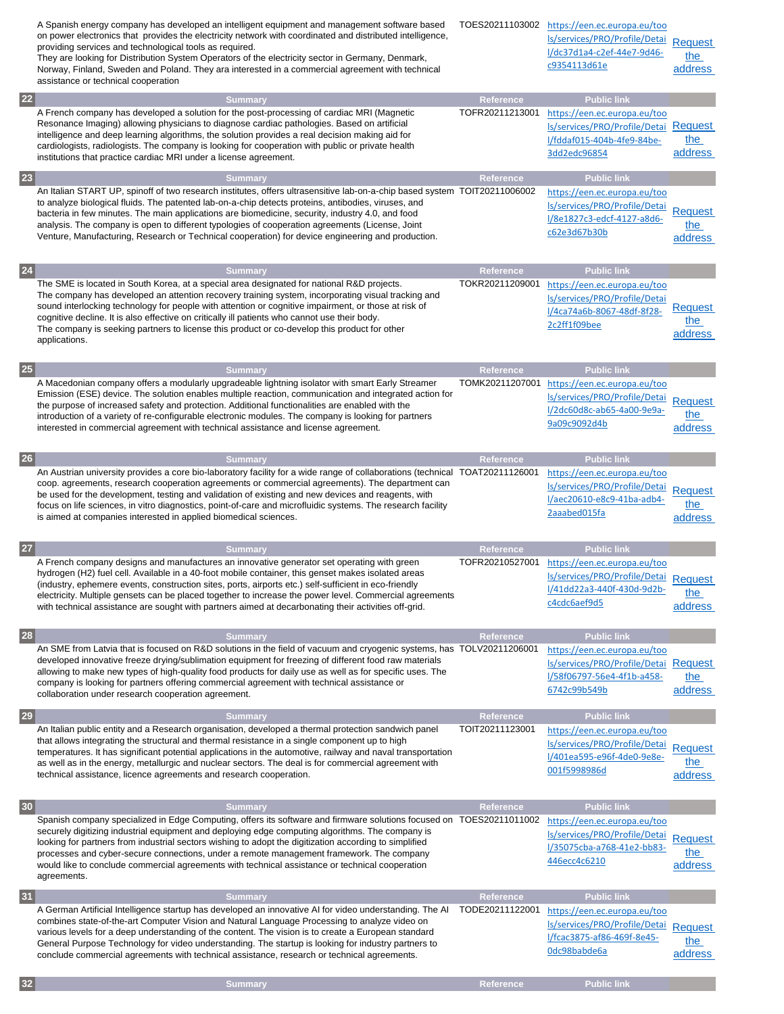|                 | A Spanish energy company has developed an intelligent equipment and management software based<br>on power electronics that provides the electricity network with coordinated and distributed intelligence,<br>providing services and technological tools as required.<br>They are looking for Distribution System Operators of the electricity sector in Germany, Denmark,<br>Norway, Finland, Sweden and Poland. They ara interested in a commercial agreement with technical<br>assistance or technical cooperation                            | TOES20211103002  | https://een.ec.europa.eu/too<br>Is/services/PRO/Profile/Detai<br>l/dc37d1a4-c2ef-44e7-9d46-<br>c9354113d61e | Request<br>the<br>address               |
|-----------------|--------------------------------------------------------------------------------------------------------------------------------------------------------------------------------------------------------------------------------------------------------------------------------------------------------------------------------------------------------------------------------------------------------------------------------------------------------------------------------------------------------------------------------------------------|------------------|-------------------------------------------------------------------------------------------------------------|-----------------------------------------|
| 22              | <b>Summary</b>                                                                                                                                                                                                                                                                                                                                                                                                                                                                                                                                   | Reference        | <b>Public link</b>                                                                                          |                                         |
|                 | A French company has developed a solution for the post-processing of cardiac MRI (Magnetic<br>Resonance Imaging) allowing physicians to diagnose cardiac pathologies. Based on artificial<br>intelligence and deep learning algorithms, the solution provides a real decision making aid for<br>cardiologists, radiologists. The company is looking for cooperation with public or private health<br>institutions that practice cardiac MRI under a license agreement.                                                                           | TOFR20211213001  | https://een.ec.europa.eu/too<br>ls/services/PRO/Profile/Detai<br>l/fddaf015-404b-4fe9-84be-<br>3dd2edc96854 | Request<br>the<br>address               |
| 23              | <b>Summary</b>                                                                                                                                                                                                                                                                                                                                                                                                                                                                                                                                   | <b>Reference</b> | <b>Public link</b>                                                                                          |                                         |
|                 | An Italian START UP, spinoff of two research institutes, offers ultrasensitive lab-on-a-chip based system TOIT20211006002<br>to analyze biological fluids. The patented lab-on-a-chip detects proteins, antibodies, viruses, and<br>bacteria in few minutes. The main applications are biomedicine, security, industry 4.0, and food<br>analysis. The company is open to different typologies of cooperation agreements (License, Joint<br>Venture, Manufacturing, Research or Technical cooperation) for device engineering and production.     |                  | https://een.ec.europa.eu/too<br>ls/services/PRO/Profile/Detai<br>l/8e1827c3-edcf-4127-a8d6-<br>c62e3d67b30b | <b>Request</b><br>the<br>address        |
| 24              | <b>Summary</b>                                                                                                                                                                                                                                                                                                                                                                                                                                                                                                                                   | <b>Reference</b> | <b>Public link</b>                                                                                          |                                         |
|                 | The SME is located in South Korea, at a special area designated for national R&D projects.<br>The company has developed an attention recovery training system, incorporating visual tracking and<br>sound interlocking technology for people with attention or cognitive impairment, or those at risk of<br>cognitive decline. It is also effective on critically ill patients who cannot use their body.<br>The company is seeking partners to license this product or co-develop this product for other<br>applications.                       | TOKR20211209001  | https://een.ec.europa.eu/too<br>ls/services/PRO/Profile/Detai<br>l/4ca74a6b-8067-48df-8f28-<br>2c2ff1f09bee | <b>Request</b><br>the<br>address        |
| 25              | <b>Summary</b>                                                                                                                                                                                                                                                                                                                                                                                                                                                                                                                                   | <b>Reference</b> | <b>Public link</b>                                                                                          |                                         |
|                 | A Macedonian company offers a modularly upgradeable lightning isolator with smart Early Streamer<br>Emission (ESE) device. The solution enables multiple reaction, communication and integrated action for<br>the purpose of increased safety and protection. Additional functionalities are enabled with the<br>introduction of a variety of re-configurable electronic modules. The company is looking for partners<br>interested in commercial agreement with technical assistance and license agreement.                                     | TOMK20211207001  | https://een.ec.europa.eu/too<br>Is/services/PRO/Profile/Detai<br>l/2dc60d8c-ab65-4a00-9e9a-<br>9a09c9092d4b | <b>Request</b><br>:he<br>address        |
| 26              | <b>Summary</b>                                                                                                                                                                                                                                                                                                                                                                                                                                                                                                                                   | Reference        | <b>Public link</b>                                                                                          |                                         |
|                 | An Austrian university provides a core bio-laboratory facility for a wide range of collaborations (technical TOAT20211126001<br>coop. agreements, research cooperation agreements or commercial agreements). The department can<br>be used for the development, testing and validation of existing and new devices and reagents, with<br>focus on life sciences, in vitro diagnostics, point-of-care and microfluidic systems. The research facility<br>is aimed at companies interested in applied biomedical sciences.                         |                  | https://een.ec.europa.eu/too<br>Is/services/PRO/Profile/Detai<br>l/aec20610-e8c9-41ba-adb4-<br>2aaabed015fa | <b>Request</b><br>the<br>address        |
| <b>27</b>       | <b>Summary</b>                                                                                                                                                                                                                                                                                                                                                                                                                                                                                                                                   | Reference        | <b>Public link</b>                                                                                          |                                         |
|                 | A French company designs and manufactures an innovative generator set operating with green<br>hydrogen (H2) fuel cell. Available in a 40-foot mobile container, this genset makes isolated areas<br>(industry, ephemere events, construction sites, ports, airports etc.) self-sufficient in eco-friendly<br>electricity. Multiple gensets can be placed together to increase the power level. Commercial agreements<br>with technical assistance are sought with partners aimed at decarbonating their activities off-grid.                     | TOFR20210527001  | https://een.ec.europa.eu/too<br>Is/services/PRO/Profile/Detai<br>l/41dd22a3-440f-430d-9d2b-<br>c4cdc6aef9d5 | Request<br>the<br>address               |
| 28              | <b>Summary</b>                                                                                                                                                                                                                                                                                                                                                                                                                                                                                                                                   | Reference        | <b>Public link</b>                                                                                          |                                         |
|                 | An SME from Latvia that is focused on R&D solutions in the field of vacuum and cryogenic systems, has TOLV20211206001<br>developed innovative freeze drying/sublimation equipment for freezing of different food raw materials<br>allowing to make new types of high-quality food products for daily use as well as for specific uses. The<br>company is looking for partners offering commercial agreement with technical assistance or<br>collaboration under research cooperation agreement.                                                  |                  | https://een.ec.europa.eu/too<br>ls/services/PRO/Profile/Detai<br>l/58f06797-56e4-4f1b-a458-<br>6742c99b549b | <b>Request</b><br>the<br>address        |
| 29              | <b>Summary</b>                                                                                                                                                                                                                                                                                                                                                                                                                                                                                                                                   | Reference        | <b>Public link</b>                                                                                          |                                         |
|                 | An Italian public entity and a Research organisation, developed a thermal protection sandwich panel<br>that allows integrating the structural and thermal resistance in a single component up to high<br>temperatures. It has significant potential applications in the automotive, railway and naval transportation<br>as well as in the energy, metallurgic and nuclear sectors. The deal is for commercial agreement with<br>technical assistance, licence agreements and research cooperation.                                               | TOIT20211123001  | https://een.ec.europa.eu/too<br>ls/services/PRO/Profile/Detai<br>l/401ea595-e96f-4de0-9e8e-<br>001f5998986d | <b>Request</b><br>the<br>address        |
| 30 <sub>o</sub> | <b>Summary</b>                                                                                                                                                                                                                                                                                                                                                                                                                                                                                                                                   | Reference        | <b>Public link</b>                                                                                          |                                         |
|                 | Spanish company specialized in Edge Computing, offers its software and firmware solutions focused on TOES20211011002<br>securely digitizing industrial equipment and deploying edge computing algorithms. The company is<br>looking for partners from industrial sectors wishing to adopt the digitization according to simplified<br>processes and cyber-secure connections, under a remote management framework. The company<br>would like to conclude commercial agreements with technical assistance or technical cooperation<br>agreements. |                  | https://een.ec.europa.eu/too<br>Is/services/PRO/Profile/Detai<br>l/35075cba-a768-41e2-bb83-<br>446ecc4c6210 | Request<br>the<br>address               |
| 31              | <b>Summary</b>                                                                                                                                                                                                                                                                                                                                                                                                                                                                                                                                   | Reference        | <b>Public link</b>                                                                                          |                                         |
|                 | A German Artificial Intelligence startup has developed an innovative AI for video understanding. The AI<br>combines state-of-the-art Computer Vision and Natural Language Processing to analyze video on<br>various levels for a deep understanding of the content. The vision is to create a European standard<br>General Purpose Technology for video understanding. The startup is looking for industry partners to<br>conclude commercial agreements with technical assistance, research or technical agreements.                            | TODE20211122001  | https://een.ec.europa.eu/too<br>Is/services/PRO/Profile/Detai<br>l/fcac3875-af86-469f-8e45-<br>Odc98babde6a | <b>Request</b><br><u>the</u><br>address |

**32 Reference Reference Public link**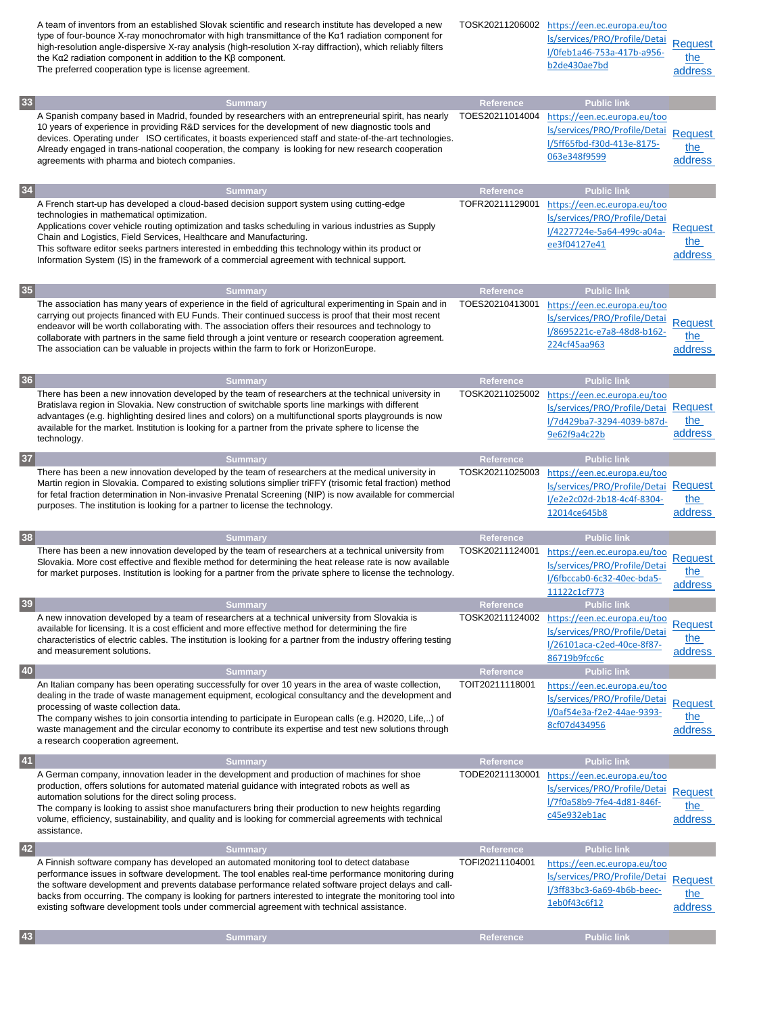|    | A team of inventors from an established Slovak scientific and research institute has developed a new<br>type of four-bounce X-ray monochromator with high transmittance of the K $\alpha$ 1 radiation component for<br>high-resolution angle-dispersive X-ray analysis (high-resolution X-ray diffraction), which reliably filters<br>the Kα2 radiation component in addition to the Kβ component.<br>The preferred cooperation type is license agreement.                                                                 | TOSK20211206002                     | https://een.ec.europa.eu/too<br>ls/services/PRO/Profile/Detai<br>l/0feb1a46-753a-417b-a956-<br>b2de430ae7bd                       | Request<br>the<br>address        |
|----|----------------------------------------------------------------------------------------------------------------------------------------------------------------------------------------------------------------------------------------------------------------------------------------------------------------------------------------------------------------------------------------------------------------------------------------------------------------------------------------------------------------------------|-------------------------------------|-----------------------------------------------------------------------------------------------------------------------------------|----------------------------------|
| 33 | <b>Summary</b>                                                                                                                                                                                                                                                                                                                                                                                                                                                                                                             | Reference                           | <b>Public link</b>                                                                                                                |                                  |
|    | A Spanish company based in Madrid, founded by researchers with an entrepreneurial spirit, has nearly<br>10 years of experience in providing R&D services for the development of new diagnostic tools and<br>devices. Operating under ISO certificates, it boasts experienced staff and state-of-the-art technologies.<br>Already engaged in trans-national cooperation, the company is looking for new research cooperation<br>agreements with pharma and biotech companies.                                               | TOES20211014004                     | https://een.ec.europa.eu/too<br>Is/services/PRO/Profile/Detai<br>I/5ff65fbd-f30d-413e-8175-<br>063e348f9599                       | <b>Request</b><br>the<br>address |
| 34 | <b>Summary</b>                                                                                                                                                                                                                                                                                                                                                                                                                                                                                                             | Reference                           | <b>Public link</b>                                                                                                                |                                  |
|    | A French start-up has developed a cloud-based decision support system using cutting-edge<br>technologies in mathematical optimization.<br>Applications cover vehicle routing optimization and tasks scheduling in various industries as Supply<br>Chain and Logistics, Field Services, Healthcare and Manufacturing.<br>This software editor seeks partners interested in embedding this technology within its product or<br>Information System (IS) in the framework of a commercial agreement with technical support.    | TOFR20211129001                     | https://een.ec.europa.eu/too<br>ls/services/PRO/Profile/Detai<br>l/4227724e-5a64-499c-a04a-<br>ee3f04127e41                       | <b>Request</b><br>the<br>address |
| 35 | <b>Summary</b>                                                                                                                                                                                                                                                                                                                                                                                                                                                                                                             | Reference                           | <b>Public link</b>                                                                                                                |                                  |
|    | The association has many years of experience in the field of agricultural experimenting in Spain and in<br>carrying out projects financed with EU Funds. Their continued success is proof that their most recent<br>endeavor will be worth collaborating with. The association offers their resources and technology to<br>collaborate with partners in the same field through a joint venture or research cooperation agreement.<br>The association can be valuable in projects within the farm to fork or HorizonEurope. | TOES20210413001                     | https://een.ec.europa.eu/too<br>Is/services/PRO/Profile/Detai<br>l/8695221c-e7a8-48d8-b162-<br>224cf45aa963                       | <b>Request</b><br>the<br>address |
| 36 | <b>Summary</b>                                                                                                                                                                                                                                                                                                                                                                                                                                                                                                             | Reference                           | <b>Public link</b>                                                                                                                |                                  |
|    | There has been a new innovation developed by the team of researchers at the technical university in<br>Bratislava region in Slovakia. New construction of switchable sports line markings with different<br>advantages (e.g. highlighting desired lines and colors) on a multifunctional sports playgrounds is now<br>available for the market. Institution is looking for a partner from the private sphere to license the<br>technology.                                                                                 | TOSK20211025002                     | https://een.ec.europa.eu/too<br>ls/services/PRO/Profile/Detai<br>l/7d429ba7-3294-4039-b87d-<br>9e62f9a4c22b                       | <b>Request</b><br>the<br>address |
| 37 | <b>Summary</b><br>There has been a new innovation developed by the team of researchers at the medical university in<br>Martin region in Slovakia. Compared to existing solutions simplier triFFY (trisomic fetal fraction) method<br>for fetal fraction determination in Non-invasive Prenatal Screening (NIP) is now available for commercial<br>purposes. The institution is looking for a partner to license the technology.                                                                                            | <b>Reference</b><br>TOSK20211025003 | <b>Public link</b><br>https://een.ec.europa.eu/too<br>ls/services/PRO/Profile/Detai<br>l/e2e2c02d-2b18-4c4f-8304-<br>12014ce645b8 | Request<br>the<br>address        |
| 38 | <b>Summary</b>                                                                                                                                                                                                                                                                                                                                                                                                                                                                                                             | Reference                           | <b>Public link</b>                                                                                                                |                                  |
|    | There has been a new innovation developed by the team of researchers at a technical university from<br>Slovakia. More cost effective and flexible method for determining the heat release rate is now available<br>for market purposes. Institution is looking for a partner from the private sphere to license the technology.                                                                                                                                                                                            | TOSK20211124001                     | https://een.ec.europa.eu/too<br>ls/services/PRO/Profile/Detai<br>l/6fbccab0-6c32-40ec-bda5-<br>11122c1cf773                       | <b>Request</b><br>the<br>address |
| 39 | <b>Summary</b>                                                                                                                                                                                                                                                                                                                                                                                                                                                                                                             | <b>Reference</b>                    | <b>Public link</b>                                                                                                                |                                  |
|    | A new innovation developed by a team of researchers at a technical university from Slovakia is<br>available for licensing. It is a cost efficient and more effective method for determining the fire<br>characteristics of electric cables. The institution is looking for a partner from the industry offering testing<br>and measurement solutions.                                                                                                                                                                      | TOSK20211124002                     | https://een.ec.europa.eu/too<br>ls/services/PRO/Profile/Detai<br>l/26101aca-c2ed-40ce-8f87-<br>86719b9fcc6c                       | <b>Request</b><br>the<br>address |
| 40 | <b>Summary</b>                                                                                                                                                                                                                                                                                                                                                                                                                                                                                                             | Reference                           | <b>Public link</b>                                                                                                                |                                  |
|    | An Italian company has been operating successfully for over 10 years in the area of waste collection,<br>dealing in the trade of waste management equipment, ecological consultancy and the development and<br>processing of waste collection data.<br>The company wishes to join consortia intending to participate in European calls (e.g. H2020, Life,) of<br>waste management and the circular economy to contribute its expertise and test new solutions through<br>a research cooperation agreement.                 | TOIT20211118001                     | https://een.ec.europa.eu/too<br>Is/services/PRO/Profile/Detai<br>I/0af54e3a-f2e2-44ae-9393-<br>8cf07d434956                       | <b>Request</b><br>the<br>address |
| 41 | <b>Summary</b>                                                                                                                                                                                                                                                                                                                                                                                                                                                                                                             | Reference                           | <b>Public link</b>                                                                                                                |                                  |
|    | A German company, innovation leader in the development and production of machines for shoe<br>production, offers solutions for automated material guidance with integrated robots as well as<br>automation solutions for the direct soling process.<br>The company is looking to assist shoe manufacturers bring their production to new heights regarding<br>volume, efficiency, sustainability, and quality and is looking for commercial agreements with technical<br>assistance.                                       | TODE20211130001                     | https://een.ec.europa.eu/too<br>ls/services/PRO/Profile/Detai<br>l/7f0a58b9-7fe4-4d81-846f-<br>c45e932eb1ac                       | Request<br>the<br>address        |
| 42 | <b>Summary</b>                                                                                                                                                                                                                                                                                                                                                                                                                                                                                                             | Reference                           | <b>Public link</b>                                                                                                                |                                  |
|    | A Finnish software company has developed an automated monitoring tool to detect database<br>performance issues in software development. The tool enables real-time performance monitoring during<br>the software development and prevents database performance related software project delays and call-<br>backs from occurring. The company is looking for partners interested to integrate the monitoring tool into<br>existing software development tools under commercial agreement with technical assistance.        | TOFI20211104001                     | https://een.ec.europa.eu/too<br>Is/services/PRO/Profile/Detai<br>l/3ff83bc3-6a69-4b6b-beec-<br>1eb0f43c6f12                       | <b>Request</b><br>the<br>address |
| 43 | <b>Summary</b>                                                                                                                                                                                                                                                                                                                                                                                                                                                                                                             | Reference                           | <b>Public link</b>                                                                                                                |                                  |
|    |                                                                                                                                                                                                                                                                                                                                                                                                                                                                                                                            |                                     |                                                                                                                                   |                                  |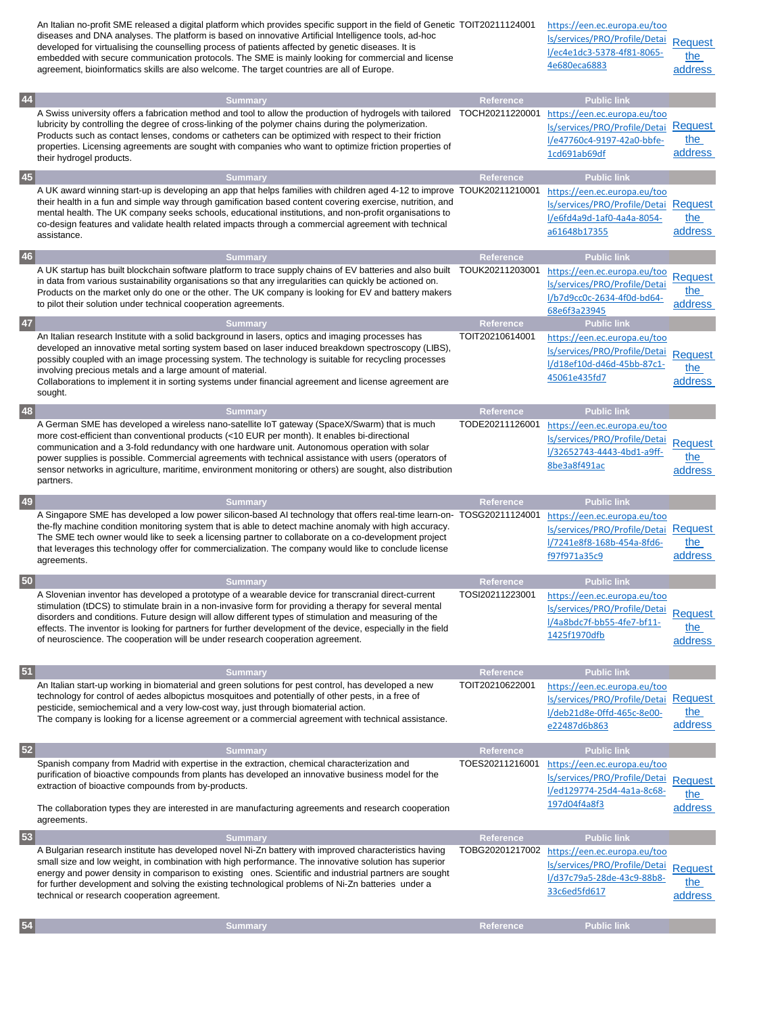|      | An Italian no-profit SME released a digital platform which provides specific support in the field of Genetic TOIT20211124001<br>diseases and DNA analyses. The platform is based on innovative Artificial Intelligence tools, ad-hoc<br>developed for virtualising the counselling process of patients affected by genetic diseases. It is<br>embedded with secure communication protocols. The SME is mainly looking for commercial and license<br>agreement, bioinformatics skills are also welcome. The target countries are all of Europe. |                              | https://een.ec.europa.eu/too<br>Is/services/PRO/Profile/Detai<br>l/ec4e1dc3-5378-4f81-8065-<br>4e680eca6883                       | Request<br>the<br>address        |
|------|------------------------------------------------------------------------------------------------------------------------------------------------------------------------------------------------------------------------------------------------------------------------------------------------------------------------------------------------------------------------------------------------------------------------------------------------------------------------------------------------------------------------------------------------|------------------------------|-----------------------------------------------------------------------------------------------------------------------------------|----------------------------------|
| 44   | <b>Summary</b>                                                                                                                                                                                                                                                                                                                                                                                                                                                                                                                                 | Reference                    | <b>Public link</b>                                                                                                                |                                  |
|      | A Swiss university offers a fabrication method and tool to allow the production of hydrogels with tailored TOCH20211220001<br>lubricity by controlling the degree of cross-linking of the polymer chains during the polymerization.<br>Products such as contact lenses, condoms or catheters can be optimized with respect to their friction<br>properties. Licensing agreements are sought with companies who want to optimize friction properties of<br>their hydrogel products.                                                             |                              | https://een.ec.europa.eu/too<br>ls/services/PRO/Profile/Detai<br>l/e47760c4-9197-42a0-bbfe-<br>1cd691ab69df                       | Request<br>the<br>address        |
| 45   | <b>Summary</b>                                                                                                                                                                                                                                                                                                                                                                                                                                                                                                                                 | Reference                    | <b>Public link</b>                                                                                                                |                                  |
|      | A UK award winning start-up is developing an app that helps families with children aged 4-12 to improve TOUK20211210001<br>their health in a fun and simple way through gamification based content covering exercise, nutrition, and<br>mental health. The UK company seeks schools, educational institutions, and non-profit organisations to<br>co-design features and validate health related impacts through a commercial agreement with technical<br>assistance.                                                                          |                              | https://een.ec.europa.eu/too<br>ls/services/PRO/Profile/Detai<br>I/e6fd4a9d-1af0-4a4a-8054-<br>a61648b17355                       | <b>Request</b><br>the<br>address |
| 46   | <b>Summary</b>                                                                                                                                                                                                                                                                                                                                                                                                                                                                                                                                 | Reference                    | <b>Public link</b>                                                                                                                |                                  |
|      | A UK startup has built blockchain software platform to trace supply chains of EV batteries and also built TOUK20211203001<br>in data from various sustainability organisations so that any irregularities can quickly be actioned on.<br>Products on the market only do one or the other. The UK company is looking for EV and battery makers<br>to pilot their solution under technical cooperation agreements.                                                                                                                               |                              | https://een.ec.europa.eu/too<br>ls/services/PRO/Profile/Detai<br>l/b7d9cc0c-2634-4f0d-bd64-<br>68e6f3a23945                       | <b>Request</b><br>the<br>address |
| 47   | <b>Summary</b>                                                                                                                                                                                                                                                                                                                                                                                                                                                                                                                                 | Reference                    | <b>Public link</b>                                                                                                                |                                  |
|      | An Italian research Institute with a solid background in lasers, optics and imaging processes has<br>developed an innovative metal sorting system based on laser induced breakdown spectroscopy (LIBS),<br>possibly coupled with an image processing system. The technology is suitable for recycling processes<br>involving precious metals and a large amount of material.<br>Collaborations to implement it in sorting systems under financial agreement and license agreement are<br>sought.                                               | TOIT20210614001              | https://een.ec.europa.eu/too<br>ls/services/PRO/Profile/Detai<br>l/d18ef10d-d46d-45bb-87c1-<br>45061e435fd7                       | <b>Request</b><br>the<br>address |
| 48   | <b>Summary</b>                                                                                                                                                                                                                                                                                                                                                                                                                                                                                                                                 | Reference                    | <b>Public link</b>                                                                                                                |                                  |
|      | A German SME has developed a wireless nano-satellite IoT gateway (SpaceX/Swarm) that is much<br>more cost-efficient than conventional products (<10 EUR per month). It enables bi-directional<br>communication and a 3-fold redundancy with one hardware unit. Autonomous operation with solar<br>power supplies is possible. Commercial agreements with technical assistance with users (operators of                                                                                                                                         | TODE20211126001              | https://een.ec.europa.eu/too<br>Is/services/PRO/Profile/Detai<br>l/32652743-4443-4bd1-a9ff-<br>8be3a8f491ac                       | <b>Request</b><br>the            |
|      | sensor networks in agriculture, maritime, environment monitoring or others) are sought, also distribution<br>partners.                                                                                                                                                                                                                                                                                                                                                                                                                         |                              |                                                                                                                                   | address                          |
| 49   | <b>Summary</b>                                                                                                                                                                                                                                                                                                                                                                                                                                                                                                                                 | Reference                    | <b>Public link</b>                                                                                                                |                                  |
|      | A Singapore SME has developed a low power silicon-based AI technology that offers real-time learn-on- TOSG20211124001<br>the-fly machine condition monitoring system that is able to detect machine anomaly with high accuracy.<br>The SME tech owner would like to seek a licensing partner to collaborate on a co-development project<br>that leverages this technology offer for commercialization. The company would like to conclude license<br>agreements.                                                                               |                              | https://een.ec.europa.eu/too<br>Is/services/PRO/Profile/Detai Request<br>l/7241e8f8-168b-454a-8fd6-<br>f97f971a35c9               | the<br>address                   |
| 50   | <b>Summary</b>                                                                                                                                                                                                                                                                                                                                                                                                                                                                                                                                 | <b>Reference</b>             | <b>Public link</b>                                                                                                                |                                  |
|      | A Slovenian inventor has developed a prototype of a wearable device for transcranial direct-current<br>stimulation (tDCS) to stimulate brain in a non-invasive form for providing a therapy for several mental<br>disorders and conditions. Future design will allow different types of stimulation and measuring of the<br>effects. The inventor is looking for partners for further development of the device, especially in the field<br>of neuroscience. The cooperation will be under research cooperation agreement.                     | TOSI20211223001              | https://een.ec.europa.eu/too<br>Is/services/PRO/Profile/Detai<br>l/4a8bdc7f-bb55-4fe7-bf11-<br>1425f1970dfb                       | <b>Request</b><br>the<br>address |
|      |                                                                                                                                                                                                                                                                                                                                                                                                                                                                                                                                                |                              |                                                                                                                                   |                                  |
| 51   | <b>Summary</b><br>An Italian start-up working in biomaterial and green solutions for pest control, has developed a new<br>technology for control of aedes albopictus mosquitoes and potentially of other pests, in a free of<br>pesticide, semiochemical and a very low-cost way, just through biomaterial action.<br>The company is looking for a license agreement or a commercial agreement with technical assistance.                                                                                                                      | Reference<br>TOIT20210622001 | <b>Public link</b><br>https://een.ec.europa.eu/too<br>ls/services/PRO/Profile/Detai<br>l/deb21d8e-0ffd-465c-8e00-<br>e22487d6b863 | Request<br>the<br>address        |
|      | <b>Summary</b>                                                                                                                                                                                                                                                                                                                                                                                                                                                                                                                                 | Reference                    | <b>Public link</b>                                                                                                                |                                  |
| $52$ | Spanish company from Madrid with expertise in the extraction, chemical characterization and<br>purification of bioactive compounds from plants has developed an innovative business model for the<br>extraction of bioactive compounds from by-products.<br>The collaboration types they are interested in are manufacturing agreements and research cooperation<br>agreements.                                                                                                                                                                | TOES20211216001              | https://een.ec.europa.eu/too<br>Is/services/PRO/Profile/Detai<br>l/ed129774-25d4-4a1a-8c68-<br>197d04f4a8f3                       | Request<br>the<br>address        |
|      |                                                                                                                                                                                                                                                                                                                                                                                                                                                                                                                                                |                              |                                                                                                                                   |                                  |
| 53   | <b>Summary</b><br>A Bulgarian research institute has developed novel Ni-Zn battery with improved characteristics having<br>small size and low weight, in combination with high performance. The innovative solution has superior<br>energy and power density in comparison to existing ones. Scientific and industrial partners are sought<br>for further development and solving the existing technological problems of Ni-Zn batteries under a<br>technical or research cooperation agreement.                                               | Reference<br>TOBG20201217002 | <b>Public link</b><br>https://een.ec.europa.eu/too<br>Is/services/PRO/Profile/Detai<br>l/d37c79a5-28de-43c9-88b8-<br>33c6ed5fd617 | Request<br>the<br>address        |
| 54   | <b>Summary</b>                                                                                                                                                                                                                                                                                                                                                                                                                                                                                                                                 | Reference                    | <b>Public link</b>                                                                                                                |                                  |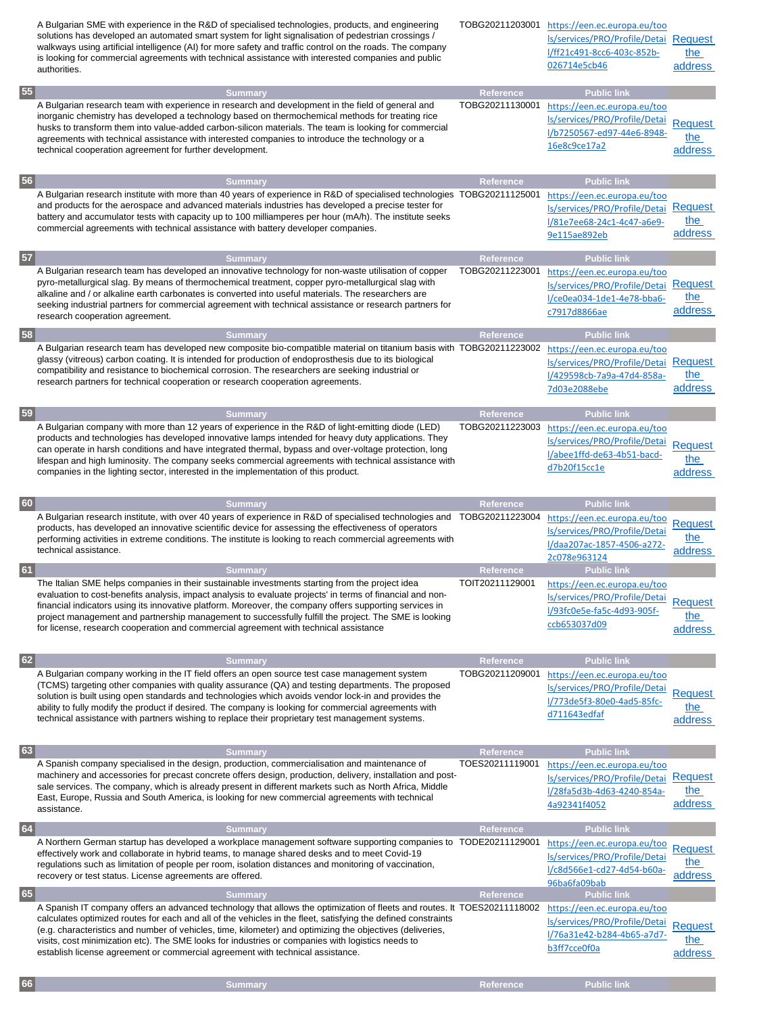|    | A Bulgarian SME with experience in the R&D of specialised technologies, products, and engineering<br>solutions has developed an automated smart system for light signalisation of pedestrian crossings /<br>walkways using artificial intelligence (AI) for more safety and traffic control on the roads. The company<br>is looking for commercial agreements with technical assistance with interested companies and public<br>authorities.                                                                                               |                              | TOBG20211203001 https://een.ec.europa.eu/too<br>Is/services/PRO/Profile/Detai Request<br>l/ff21c491-8cc6-403c-852b-<br>026714e5cb46 | the<br>address                   |
|----|--------------------------------------------------------------------------------------------------------------------------------------------------------------------------------------------------------------------------------------------------------------------------------------------------------------------------------------------------------------------------------------------------------------------------------------------------------------------------------------------------------------------------------------------|------------------------------|-------------------------------------------------------------------------------------------------------------------------------------|----------------------------------|
| 55 | <b>Summary</b>                                                                                                                                                                                                                                                                                                                                                                                                                                                                                                                             | Reference                    | <b>Public link</b>                                                                                                                  |                                  |
|    | A Bulgarian research team with experience in research and development in the field of general and<br>inorganic chemistry has developed a technology based on thermochemical methods for treating rice<br>husks to transform them into value-added carbon-silicon materials. The team is looking for commercial<br>agreements with technical assistance with interested companies to introduce the technology or a<br>technical cooperation agreement for further development.                                                              | TOBG20211130001              | https://een.ec.europa.eu/too<br>Is/services/PRO/Profile/Detai<br>l/b7250567-ed97-44e6-8948-<br>16e8c9ce17a2                         | <b>Request</b><br>the<br>address |
| 56 | <b>Summary</b>                                                                                                                                                                                                                                                                                                                                                                                                                                                                                                                             | Reference                    | <b>Public link</b>                                                                                                                  |                                  |
|    | A Bulgarian research institute with more than 40 years of experience in R&D of specialised technologies TOBG20211125001<br>and products for the aerospace and advanced materials industries has developed a precise tester for<br>battery and accumulator tests with capacity up to 100 milliamperes per hour (mA/h). The institute seeks<br>commercial agreements with technical assistance with battery developer companies.                                                                                                             |                              | https://een.ec.europa.eu/too<br>ls/services/PRO/Profile/Detai<br>l/81e7ee68-24c1-4c47-a6e9-<br>9e115ae892eb                         | Request<br>the<br>address        |
| 57 | <b>Summary</b>                                                                                                                                                                                                                                                                                                                                                                                                                                                                                                                             | Reference                    | <b>Public link</b>                                                                                                                  |                                  |
|    | A Bulgarian research team has developed an innovative technology for non-waste utilisation of copper<br>pyro-metallurgical slag. By means of thermochemical treatment, copper pyro-metallurgical slag with<br>alkaline and / or alkaline earth carbonates is converted into useful materials. The researchers are<br>seeking industrial partners for commercial agreement with technical assistance or research partners for<br>research cooperation agreement.                                                                            | TOBG20211223001              | https://een.ec.europa.eu/too<br>ls/services/PRO/Profile/Detai<br>l/ce0ea034-1de1-4e78-bba6-<br>c7917d8866ae                         | Request<br>the<br>address        |
| 58 | <b>Summary</b>                                                                                                                                                                                                                                                                                                                                                                                                                                                                                                                             | <b>Reference</b>             | <b>Public link</b>                                                                                                                  |                                  |
|    | A Bulgarian research team has developed new composite bio-compatible material on titanium basis with TOBG20211223002<br>glassy (vitreous) carbon coating. It is intended for production of endoprosthesis due to its biological<br>compatibility and resistance to biochemical corrosion. The researchers are seeking industrial or<br>research partners for technical cooperation or research cooperation agreements.                                                                                                                     |                              | https://een.ec.europa.eu/too<br>ls/services/PRO/Profile/Detai<br>l/429598cb-7a9a-47d4-858a-<br>7d03e2088ebe                         | Request<br>the<br>address        |
| 59 | <b>Summary</b>                                                                                                                                                                                                                                                                                                                                                                                                                                                                                                                             | Reference                    | <b>Public link</b>                                                                                                                  |                                  |
|    | A Bulgarian company with more than 12 years of experience in the R&D of light-emitting diode (LED)<br>products and technologies has developed innovative lamps intended for heavy duty applications. They<br>can operate in harsh conditions and have integrated thermal, bypass and over-voltage protection, long<br>lifespan and high luminosity. The company seeks commercial agreements with technical assistance with<br>companies in the lighting sector, interested in the implementation of this product.                          | TOBG20211223003              | https://een.ec.europa.eu/too<br>Is/services/PRO/Profile/Detai<br>l/abee1ffd-de63-4b51-bacd-<br>d7b20f15cc1e                         | <b>Request</b><br>the<br>address |
|    |                                                                                                                                                                                                                                                                                                                                                                                                                                                                                                                                            |                              |                                                                                                                                     |                                  |
|    |                                                                                                                                                                                                                                                                                                                                                                                                                                                                                                                                            | <b>Reference</b>             |                                                                                                                                     |                                  |
| 60 | <b>Summary</b><br>A Bulgarian research institute, with over 40 years of experience in R&D of specialised technologies and TOBG20211223004<br>products, has developed an innovative scientific device for assessing the effectiveness of operators<br>performing activities in extreme conditions. The institute is looking to reach commercial agreements with<br>technical assistance.                                                                                                                                                    |                              | <b>Public link</b><br>https://een.ec.europa.eu/too<br>ls/services/PRO/Profile/Detai<br>l/daa207ac-1857-4506-a272-<br>2c078e963124   | <b>Request</b><br>the<br>address |
|    | <b>Summary</b>                                                                                                                                                                                                                                                                                                                                                                                                                                                                                                                             | Reference                    | <b>Public link</b>                                                                                                                  |                                  |
| 61 | The Italian SME helps companies in their sustainable investments starting from the project idea<br>evaluation to cost-benefits analysis, impact analysis to evaluate projects' in terms of financial and non-<br>financial indicators using its innovative platform. Moreover, the company offers supporting services in<br>project management and partnership management to successfully fulfill the project. The SME is looking<br>for license, research cooperation and commercial agreement with technical assistance                  | TOIT20211129001              | https://een.ec.europa.eu/too<br>Is/services/PRO/Profile/Detai<br>l/93fc0e5e-fa5c-4d93-905f-<br>ccb653037d09                         | <b>Request</b><br>the<br>address |
|    |                                                                                                                                                                                                                                                                                                                                                                                                                                                                                                                                            |                              |                                                                                                                                     |                                  |
| 62 | <b>Summary</b><br>A Bulgarian company working in the IT field offers an open source test case management system<br>(TCMS) targeting other companies with quality assurance (QA) and testing departments. The proposed<br>solution is built using open standards and technologies which avoids vendor lock-in and provides the<br>ability to fully modify the product if desired. The company is looking for commercial agreements with<br>technical assistance with partners wishing to replace their proprietary test management systems. | Reference<br>TOBG20211209001 | <b>Public link</b><br>https://een.ec.europa.eu/too<br>Is/services/PRO/Profile/Detai<br>l/773de5f3-80e0-4ad5-85fc-<br>d711643edfaf   | Request<br>the<br>address        |
|    |                                                                                                                                                                                                                                                                                                                                                                                                                                                                                                                                            |                              |                                                                                                                                     |                                  |
| 63 | <b>Summary</b><br>A Spanish company specialised in the design, production, commercialisation and maintenance of<br>machinery and accessories for precast concrete offers design, production, delivery, installation and post-<br>sale services. The company, which is already present in different markets such as North Africa, Middle<br>East, Europe, Russia and South America, is looking for new commercial agreements with technical<br>assistance.                                                                                  | Reference<br>TOES20211119001 | <b>Public link</b><br>https://een.ec.europa.eu/too<br>ls/services/PRO/Profile/Detai<br>l/28fa5d3b-4d63-4240-854a-<br>4a92341f4052   | Request<br>the<br>address        |
|    | <b>Summary</b>                                                                                                                                                                                                                                                                                                                                                                                                                                                                                                                             | Reference                    | <b>Public link</b>                                                                                                                  |                                  |
| 64 | A Northern German startup has developed a workplace management software supporting companies to TODE20211129001<br>effectively work and collaborate in hybrid teams, to manage shared desks and to meet Covid-19<br>regulations such as limitation of people per room, isolation distances and monitoring of vaccination,<br>recovery or test status. License agreements are offered.                                                                                                                                                      |                              | https://een.ec.europa.eu/too<br>ls/services/PRO/Profile/Detai<br>l/c8d566e1-cd27-4d54-b60a-<br>96ba6fa09bab                         | <b>Request</b><br>the<br>address |
| 65 | <b>Summary</b><br>A Spanish IT company offers an advanced technology that allows the optimization of fleets and routes. It TOES20211118002                                                                                                                                                                                                                                                                                                                                                                                                 | <b>Reference</b>             | <b>Public link</b><br>https://een.ec.europa.eu/too                                                                                  |                                  |

**66 Summary Reference Public link**